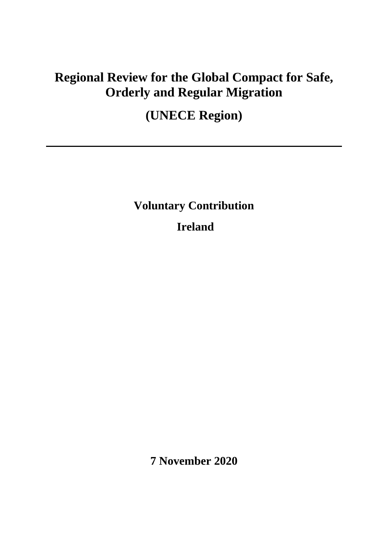## **Regional Review for the Global Compact for Safe, Orderly and Regular Migration**

# **(UNECE Region)**

**Voluntary Contribution**

**Ireland**

**7 November 2020**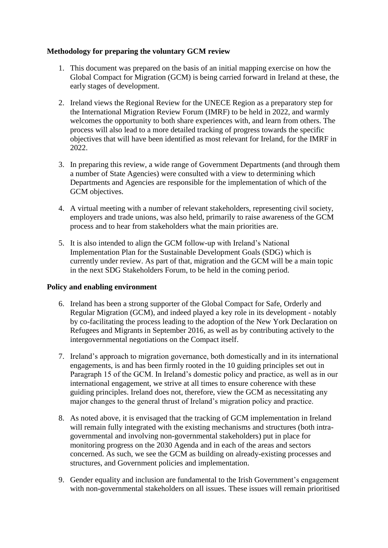### **Methodology for preparing the voluntary GCM review**

- 1. This document was prepared on the basis of an initial mapping exercise on how the Global Compact for Migration (GCM) is being carried forward in Ireland at these, the early stages of development.
- 2. Ireland views the Regional Review for the UNECE Region as a preparatory step for the International Migration Review Forum (IMRF) to be held in 2022, and warmly welcomes the opportunity to both share experiences with, and learn from others. The process will also lead to a more detailed tracking of progress towards the specific objectives that will have been identified as most relevant for Ireland, for the IMRF in 2022.
- 3. In preparing this review, a wide range of Government Departments (and through them a number of State Agencies) were consulted with a view to determining which Departments and Agencies are responsible for the implementation of which of the GCM objectives.
- 4. A virtual meeting with a number of relevant stakeholders, representing civil society, employers and trade unions, was also held, primarily to raise awareness of the GCM process and to hear from stakeholders what the main priorities are.
- 5. It is also intended to align the GCM follow-up with Ireland's National Implementation Plan for the Sustainable Development Goals (SDG) which is currently under review. As part of that, migration and the GCM will be a main topic in the next SDG Stakeholders Forum, to be held in the coming period.

#### **Policy and enabling environment**

- 6. Ireland has been a strong supporter of the Global Compact for Safe, Orderly and Regular Migration (GCM), and indeed played a key role in its development - notably by co-facilitating the process leading to the adoption of the New York Declaration on Refugees and Migrants in September 2016, as well as by contributing actively to the intergovernmental negotiations on the Compact itself.
- 7. Ireland's approach to migration governance, both domestically and in its international engagements, is and has been firmly rooted in the 10 guiding principles set out in Paragraph 15 of the GCM. In Ireland's domestic policy and practice, as well as in our international engagement, we strive at all times to ensure coherence with these guiding principles. Ireland does not, therefore, view the GCM as necessitating any major changes to the general thrust of Ireland's migration policy and practice.
- 8. As noted above, it is envisaged that the tracking of GCM implementation in Ireland will remain fully integrated with the existing mechanisms and structures (both intragovernmental and involving non-governmental stakeholders) put in place for monitoring progress on the 2030 Agenda and in each of the areas and sectors concerned. As such, we see the GCM as building on already-existing processes and structures, and Government policies and implementation.
- 9. Gender equality and inclusion are fundamental to the Irish Government's engagement with non-governmental stakeholders on all issues. These issues will remain prioritised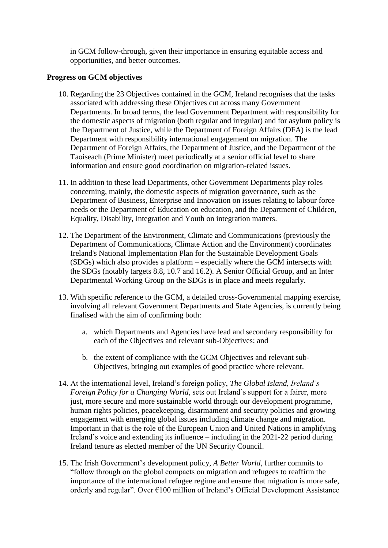in GCM follow-through, given their importance in ensuring equitable access and opportunities, and better outcomes.

#### **Progress on GCM objectives**

- 10. Regarding the 23 Objectives contained in the GCM, Ireland recognises that the tasks associated with addressing these Objectives cut across many Government Departments. In broad terms, the lead Government Department with responsibility for the domestic aspects of migration (both regular and irregular) and for asylum policy is the Department of Justice, while the Department of Foreign Affairs (DFA) is the lead Department with responsibility international engagement on migration. The Department of Foreign Affairs, the Department of Justice, and the Department of the Taoiseach (Prime Minister) meet periodically at a senior official level to share information and ensure good coordination on migration-related issues.
- 11. In addition to these lead Departments, other Government Departments play roles concerning, mainly, the domestic aspects of migration governance, such as the Department of Business, Enterprise and Innovation on issues relating to labour force needs or the Department of Education on education, and the Department of Children, Equality, Disability, Integration and Youth on integration matters.
- 12. The Department of the Environment, Climate and Communications (previously the Department of Communications, Climate Action and the Environment) coordinates Ireland's National Implementation Plan for the Sustainable Development Goals (SDGs) which also provides a platform – especially where the GCM intersects with the SDGs (notably targets 8.8, 10.7 and 16.2). A Senior Official Group, and an Inter Departmental Working Group on the SDGs is in place and meets regularly.
- 13. With specific reference to the GCM, a detailed cross-Governmental mapping exercise, involving all relevant Government Departments and State Agencies, is currently being finalised with the aim of confirming both:
	- a. which Departments and Agencies have lead and secondary responsibility for each of the Objectives and relevant sub-Objectives; and
	- b. the extent of compliance with the GCM Objectives and relevant sub-Objectives, bringing out examples of good practice where relevant.
- 14. At the international level, Ireland's foreign policy, *The Global Island, Ireland's Foreign Policy for a Changing World,* sets out Ireland's support for a fairer, more just, more secure and more sustainable world through our development programme, human rights policies, peacekeeping, disarmament and security policies and growing engagement with emerging global issues including climate change and migration. Important in that is the role of the European Union and United Nations in amplifying Ireland's voice and extending its influence – including in the 2021-22 period during Ireland tenure as elected member of the UN Security Council.
- 15. The Irish Government's development policy, *A Better World*, further commits to "follow through on the global compacts on migration and refugees to reaffirm the importance of the international refugee regime and ensure that migration is more safe, orderly and regular". Over €100 million of Ireland's Official Development Assistance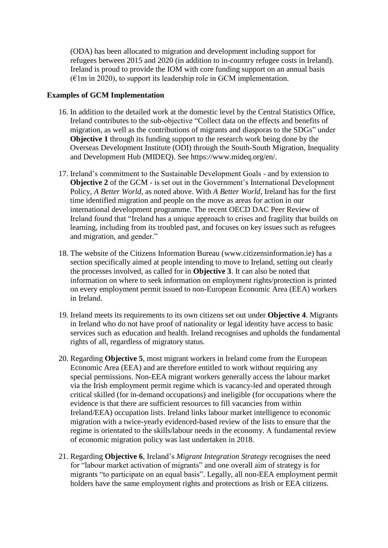(ODA) has been allocated to migration and development including support for refugees between 2015 and 2020 (in addition to in-country refugee costs in Ireland). Ireland is proud to provide the IOM with core funding support on an annual basis  $(E1m \text{ in } 2020)$ , to support its leadership role in GCM implementation.

#### **Examples of GCM Implementation**

- 16. In addition to the detailed work at the domestic level by the Central Statistics Office, Ireland contributes to the sub-objective "Collect data on the effects and benefits of migration, as well as the contributions of migrants and diasporas to the SDGs" under **Objective 1** through its funding support to the research work being done by the Overseas Development Institute (ODI) through the South-South Migration, Inequality and Development Hub (MIDEQ). See [https://www.mideq.org/en/.](https://www.mideq.org/en/)
- 17. Ireland's commitment to the Sustainable Development Goals and by extension to **Objective 2** of the GCM - is set out in the Government's International Development Policy, *A Better World*, as noted above. With *A Better World*, Ireland has for the first time identified migration and people on the move as areas for action in our international development programme. The recent OECD DAC Peer Review of Ireland found that "Ireland has a unique approach to crises and fragility that builds on learning, including from its troubled past, and focuses on key issues such as refugees and migration, and gender."
- 18. The website of the Citizens Information Bureau (www.citizensinformation.ie) has a section specifically aimed at people intending to move to Ireland, setting out clearly the processes involved, as called for in **Objective 3**. It can also be noted that information on where to seek information on employment rights/protection is printed on every employment permit issued to non-European Economic Area (EEA) workers in Ireland.
- 19. Ireland meets its requirements to its own citizens set out under **Objective 4**. Migrants in Ireland who do not have proof of nationality or legal identity have access to basic services such as education and health. Ireland recognises and upholds the fundamental rights of all, regardless of migratory status.
- 20. Regarding **Objective 5**, most migrant workers in Ireland come from the European Economic Area (EEA) and are therefore entitled to work without requiring any special permissions. Non-EEA migrant workers generally access the labour market via the Irish employment permit regime which is vacancy-led and operated through critical skilled (for in-demand occupations) and ineligible (for occupations where the evidence is that there are sufficient resources to fill vacancies from within Ireland/EEA) occupation lists. Ireland links labour market intelligence to economic migration with a twice-yearly evidenced-based review of the lists to ensure that the regime is orientated to the skills/labour needs in the economy. A fundamental review of economic migration policy was last undertaken in 2018.
- 21. Regarding **Objective 6**, Ireland's *Migrant Integration Strategy* recognises the need for "labour market activation of migrants" and one overall aim of strategy is for migrants "to participate on an equal basis". Legally, all non-EEA employment permit holders have the same employment rights and protections as Irish or EEA citizens.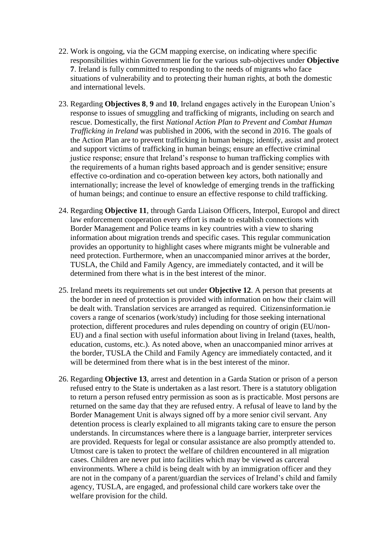- 22. Work is ongoing, via the GCM mapping exercise, on indicating where specific responsibilities within Government lie for the various sub-objectives under **Objective 7**. Ireland is fully committed to responding to the needs of migrants who face situations of vulnerability and to protecting their human rights, at both the domestic and international levels.
- 23. Regarding **Objectives 8**, **9** and **10**, Ireland engages actively in the European Union's response to issues of smuggling and trafficking of migrants, including on search and rescue. Domestically, the first *National Action Plan to Prevent and Combat Human Trafficking in Ireland* was published in 2006, with the second in 2016. The goals of the Action Plan are to prevent trafficking in human beings; identify, assist and protect and support victims of trafficking in human beings; ensure an effective criminal justice response; ensure that Ireland's response to human trafficking complies with the requirements of a human rights based approach and is gender sensitive; ensure effective co-ordination and co-operation between key actors, both nationally and internationally; increase the level of knowledge of emerging trends in the trafficking of human beings; and continue to ensure an effective response to child trafficking.
- 24. Regarding **Objective 11**, through Garda Liaison Officers, Interpol, Europol and direct law enforcement cooperation every effort is made to establish connections with Border Management and Police teams in key countries with a view to sharing information about migration trends and specific cases. This regular communication provides an opportunity to highlight cases where migrants might be vulnerable and need protection. Furthermore, when an unaccompanied minor arrives at the border, TUSLA, the Child and Family Agency, are immediately contacted, and it will be determined from there what is in the best interest of the minor.
- 25. Ireland meets its requirements set out under **Objective 12**. A person that presents at the border in need of protection is provided with information on how their claim will be dealt with. Translation services are arranged as required. Citizensinformation.ie covers a range of scenarios (work/study) including for those seeking international protection, different procedures and rules depending on country of origin (EU/non-EU) and a final section with useful information about living in Ireland (taxes, health, education, customs, etc.). As noted above, when an unaccompanied minor arrives at the border, TUSLA the Child and Family Agency are immediately contacted, and it will be determined from there what is in the best interest of the minor.
- 26. Regarding **Objective 13**, arrest and detention in a Garda Station or prison of a person refused entry to the State is undertaken as a last resort. There is a statutory obligation to return a person refused entry permission as soon as is practicable. Most persons are returned on the same day that they are refused entry. A refusal of leave to land by the Border Management Unit is always signed off by a more senior civil servant. Any detention process is clearly explained to all migrants taking care to ensure the person understands. In circumstances where there is a language barrier, interpreter services are provided. Requests for legal or consular assistance are also promptly attended to. Utmost care is taken to protect the welfare of children encountered in all migration cases. Children are never put into facilities which may be viewed as carceral environments. Where a child is being dealt with by an immigration officer and they are not in the company of a parent/guardian the services of Ireland's child and family agency, TUSLA, are engaged, and professional child care workers take over the welfare provision for the child.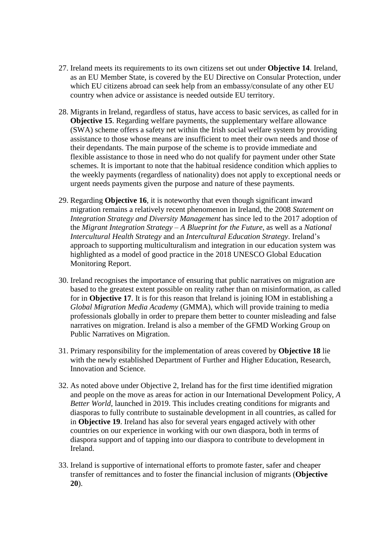- 27. Ireland meets its requirements to its own citizens set out under **Objective 14**. Ireland, as an EU Member State, is covered by the EU Directive on Consular Protection, under which EU citizens abroad can seek help from an embassy/consulate of any other EU country when advice or assistance is needed outside EU territory.
- 28. Migrants in Ireland, regardless of status, have access to basic services, as called for in **Objective 15**. Regarding welfare payments, the supplementary welfare allowance (SWA) scheme offers a safety net within the Irish social welfare system by providing assistance to those whose means are insufficient to meet their own needs and those of their dependants. The main purpose of the scheme is to provide immediate and flexible assistance to those in need who do not qualify for payment under other State schemes. It is important to note that the habitual residence condition which applies to the weekly payments (regardless of nationality) does not apply to exceptional needs or urgent needs payments given the purpose and nature of these payments.
- 29. Regarding **Objective 16**, it is noteworthy that even though significant inward migration remains a relatively recent phenomenon in Ireland, the 2008 *Statement on Integration Strategy and Diversity Management* has since led to the 2017 adoption of the *Migrant Integration Strategy – A Blueprint for the Future*, as well as a *National Intercultural Health Strategy* and an *Intercultural Education Strategy*. Ireland's approach to supporting multiculturalism and integration in our education system was highlighted as a model of good practice in the 2018 UNESCO Global Education Monitoring Report.
- 30. Ireland recognises the importance of ensuring that public narratives on migration are based to the greatest extent possible on reality rather than on misinformation, as called for in **Objective 17**. It is for this reason that Ireland is joining IOM in establishing a *Global Migration Media Academy* (GMMA), which will provide training to media professionals globally in order to prepare them better to counter misleading and false narratives on migration. Ireland is also a member of the GFMD Working Group on Public Narratives on Migration.
- 31. Primary responsibility for the implementation of areas covered by **Objective 18** lie with the newly established Department of Further and Higher Education, Research, Innovation and Science.
- 32. As noted above under Objective 2, Ireland has for the first time identified migration and people on the move as areas for action in our International Development Policy, *A Better World*, launched in 2019. This includes creating conditions for migrants and diasporas to fully contribute to sustainable development in all countries, as called for in **Objective 19**. Ireland has also for several years engaged actively with other countries on our experience in working with our own diaspora, both in terms of diaspora support and of tapping into our diaspora to contribute to development in Ireland.
- 33. Ireland is supportive of international efforts to promote faster, safer and cheaper transfer of remittances and to foster the financial inclusion of migrants (**Objective 20**).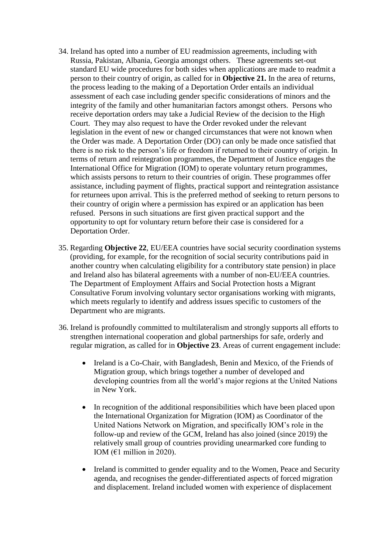- 34. Ireland has opted into a number of EU readmission agreements, including with Russia, Pakistan, Albania, Georgia amongst others. These agreements set-out standard EU wide procedures for both sides when applications are made to readmit a person to their country of origin, as called for in **Objective 21.** In the area of returns, the process leading to the making of a Deportation Order entails an individual assessment of each case including gender specific considerations of minors and the integrity of the family and other humanitarian factors amongst others. Persons who receive deportation orders may take a Judicial Review of the decision to the High Court. They may also request to have the Order revoked under the relevant legislation in the event of new or changed circumstances that were not known when the Order was made. A Deportation Order (DO) can only be made once satisfied that there is no risk to the person's life or freedom if returned to their country of origin. In terms of return and reintegration programmes, the Department of Justice engages the International Office for Migration (IOM) to operate voluntary return programmes, which assists persons to return to their countries of origin. These programmes offer assistance, including payment of flights, practical support and reintegration assistance for returnees upon arrival. This is the preferred method of seeking to return persons to their country of origin where a permission has expired or an application has been refused. Persons in such situations are first given practical support and the opportunity to opt for voluntary return before their case is considered for a Deportation Order.
- 35. Regarding **Objective 22**, EU/EEA countries have social security coordination systems (providing, for example, for the recognition of social security contributions paid in another country when calculating eligibility for a contributory state pension) in place and Ireland also has bilateral agreements with a number of non-EU/EEA countries. The Department of Employment Affairs and Social Protection hosts a Migrant Consultative Forum involving voluntary sector organisations working with migrants, which meets regularly to identify and address issues specific to customers of the Department who are migrants.
- 36. Ireland is profoundly committed to multilateralism and strongly supports all efforts to strengthen international cooperation and global partnerships for safe, orderly and regular migration, as called for in **Objective 23**. Areas of current engagement include:
	- Ireland is a Co-Chair, with Bangladesh, Benin and Mexico, of the Friends of Migration group, which brings together a number of developed and developing countries from all the world's major regions at the United Nations in New York.
	- In recognition of the additional responsibilities which have been placed upon the International Organization for Migration (IOM) as Coordinator of the United Nations Network on Migration, and specifically IOM's role in the follow-up and review of the GCM, Ireland has also joined (since 2019) the relatively small group of countries providing unearmarked core funding to IOM ( $€1$  million in 2020).
	- Ireland is committed to gender equality and to the Women, Peace and Security agenda, and recognises the gender-differentiated aspects of forced migration and displacement. Ireland included women with experience of displacement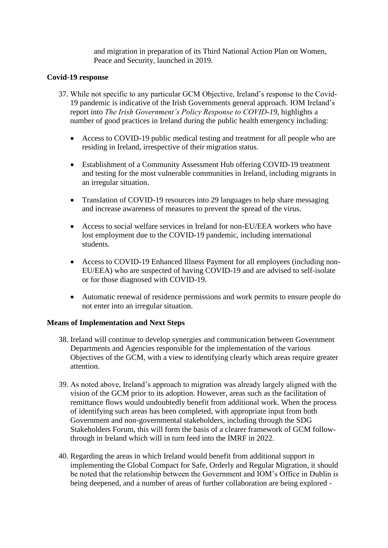and migration in preparation of its Third National Action Plan on Women, Peace and Security, launched in 2019.

#### **Covid-19 response**

- 37. While not specific to any particular GCM Objective, Ireland's response to the Covid-19 pandemic is indicative of the Irish Governments general approach. IOM Ireland's report into *The Irish Government's Policy Response to COVID-19*, highlights a number of good practices in Ireland during the public health emergency including:
	- Access to COVID-19 public medical testing and treatment for all people who are residing in Ireland, irrespective of their migration status.
	- Establishment of a Community Assessment Hub offering COVID-19 treatment and testing for the most vulnerable communities in Ireland, including migrants in an irregular situation.
	- Translation of COVID-19 resources into 29 languages to help share messaging and increase awareness of measures to prevent the spread of the virus.
	- Access to social welfare services in Ireland for non-EU/EEA workers who have lost employment due to the COVID-19 pandemic, including international students.
	- Access to COVID-19 Enhanced Illness Payment for all employees (including non-EU/EEA) who are suspected of having COVID-19 and are advised to self-isolate or for those diagnosed with COVID-19.
	- Automatic renewal of residence permissions and work permits to ensure people do not enter into an irregular situation.

#### **Means of Implementation and Next Steps**

- 38. Ireland will continue to develop synergies and communication between Government Departments and Agencies responsible for the implementation of the various Objectives of the GCM, with a view to identifying clearly which areas require greater attention.
- 39. As noted above, Ireland's approach to migration was already largely aligned with the vision of the GCM prior to its adoption. However, areas such as the facilitation of remittance flows would undoubtedly benefit from additional work. When the process of identifying such areas has been completed, with appropriate input from both Government and non-governmental stakeholders, including through the SDG Stakeholders Forum, this will form the basis of a clearer framework of GCM followthrough in Ireland which will in turn feed into the IMRF in 2022.
- 40. Regarding the areas in which Ireland would benefit from additional support in implementing the Global Compact for Safe, Orderly and Regular Migration, it should be noted that the relationship between the Government and IOM's Office in Dublin is being deepened, and a number of areas of further collaboration are being explored -